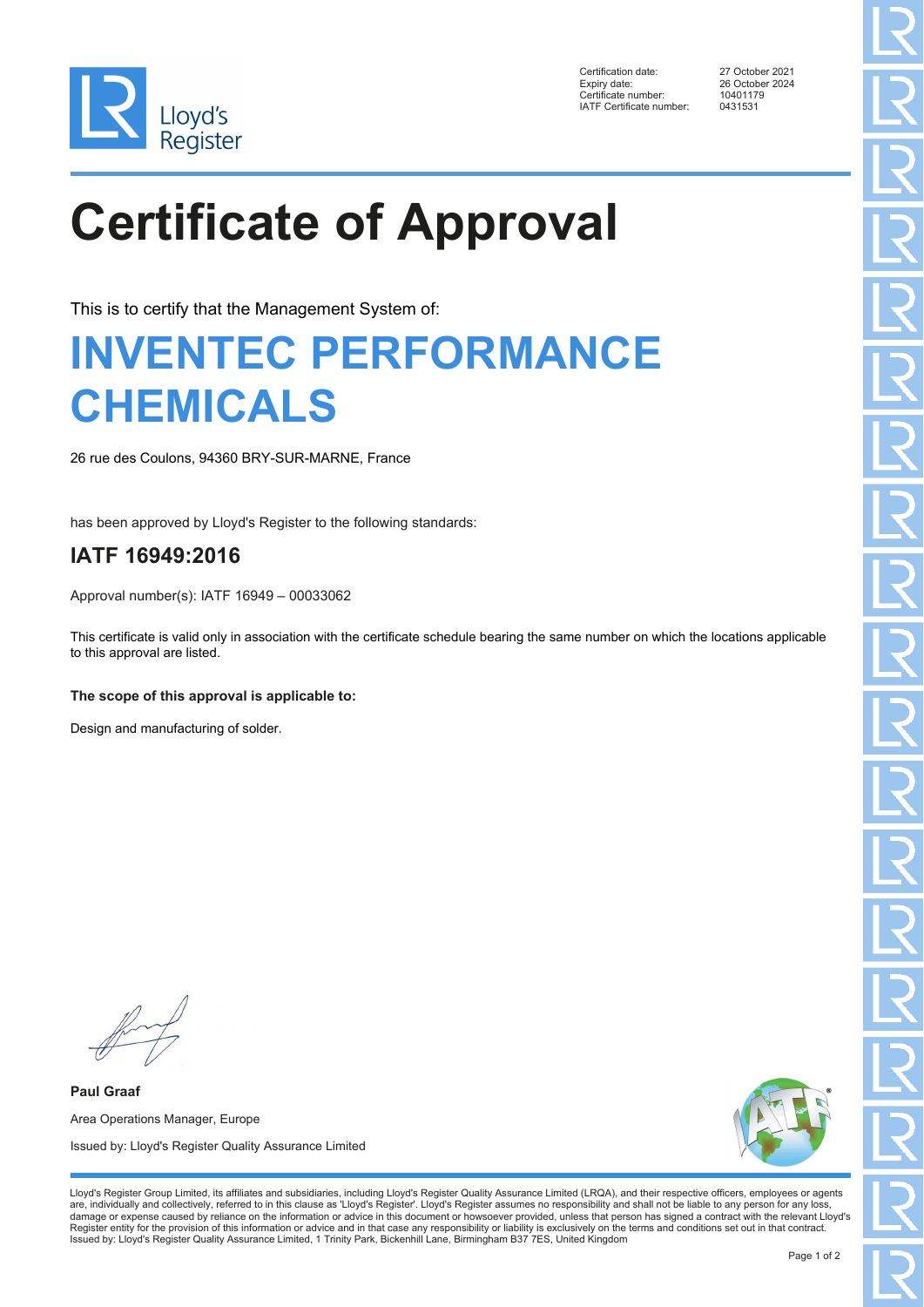

Certification date: 27 October 2021 Expiry date: 26 October 2024<br>Certificate number: 2024<br>10401179 Certificate number: 10401179<br>
IATE Certificate number: 0431531 IATF Certificate number:

# **Certificate of Approval**

This is to certify that the Management System of:

### **INVENTEC PERFORMANCE CHEMICALS**

26 rue des Coulons, 94360 BRY-SUR-MARNE, France

has been approved by Lloyd's Register to the following standards:

### **IATF 16949:2016**

Approval number(s): IATF 16949 – 00033062

This certificate is valid only in association with the certificate schedule bearing the same number on which the locations applicable to this approval are listed.

#### **The scope of this approval is applicable to:**

Design and manufacturing of solder.

**Paul Graaf** Area Operations Manager, Europe Issued by: Lloyd's Register Quality Assurance Limited



Lloyd's Register Group Limited, its affiliates and subsidiaries, including Lloyd's Register Quality Assurance Limited (LRQA), and their respective officers, employees or agents are, individually and collectively, referred to in this clause as 'Lloyd's Register'. Lloyd's Register assumes no responsibility and shall not be liable to any person for any loss,<br>damage or expense caused by reliance on t Register entity for the provision of this information or advice and in that case any responsibility or liability is exclusively on the terms and conditions set out in that contract. Issued by: Lloyd's Register Quality Assurance Limited, 1 Trinity Park, Bickenhill Lane, Birmingham B37 7ES, United Kingdom